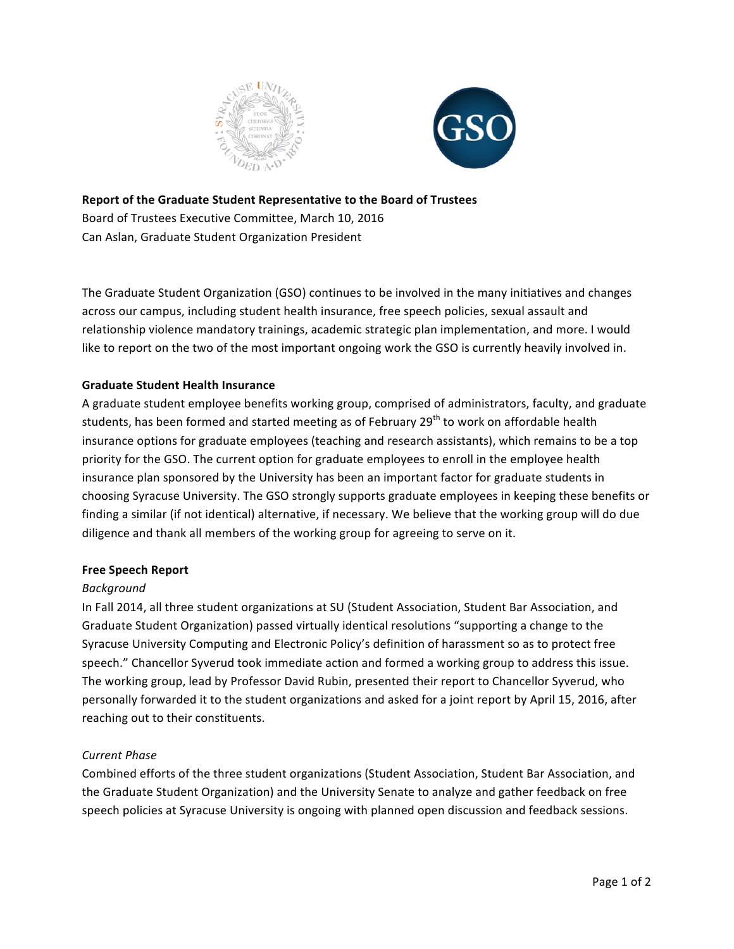



## **Report of the Graduate Student Representative to the Board of Trustees**

Board of Trustees Executive Committee, March 10, 2016 Can Aslan, Graduate Student Organization President

The Graduate Student Organization (GSO) continues to be involved in the many initiatives and changes across our campus, including student health insurance, free speech policies, sexual assault and relationship violence mandatory trainings, academic strategic plan implementation, and more. I would like to report on the two of the most important ongoing work the GSO is currently heavily involved in.

# **Graduate Student Health Insurance**

A graduate student employee benefits working group, comprised of administrators, faculty, and graduate students, has been formed and started meeting as of February 29<sup>th</sup> to work on affordable health insurance options for graduate employees (teaching and research assistants), which remains to be a top priority for the GSO. The current option for graduate employees to enroll in the employee health insurance plan sponsored by the University has been an important factor for graduate students in choosing Syracuse University. The GSO strongly supports graduate employees in keeping these benefits or finding a similar (if not identical) alternative, if necessary. We believe that the working group will do due diligence and thank all members of the working group for agreeing to serve on it.

# **Free Speech Report**

# *Background*

In Fall 2014, all three student organizations at SU (Student Association, Student Bar Association, and Graduate Student Organization) passed virtually identical resolutions "supporting a change to the Syracuse University Computing and Electronic Policy's definition of harassment so as to protect free speech." Chancellor Syverud took immediate action and formed a working group to address this issue. The working group, lead by Professor David Rubin, presented their report to Chancellor Syverud, who personally forwarded it to the student organizations and asked for a joint report by April 15, 2016, after reaching out to their constituents.

# *Current Phase*

Combined efforts of the three student organizations (Student Association, Student Bar Association, and the Graduate Student Organization) and the University Senate to analyze and gather feedback on free speech policies at Syracuse University is ongoing with planned open discussion and feedback sessions.